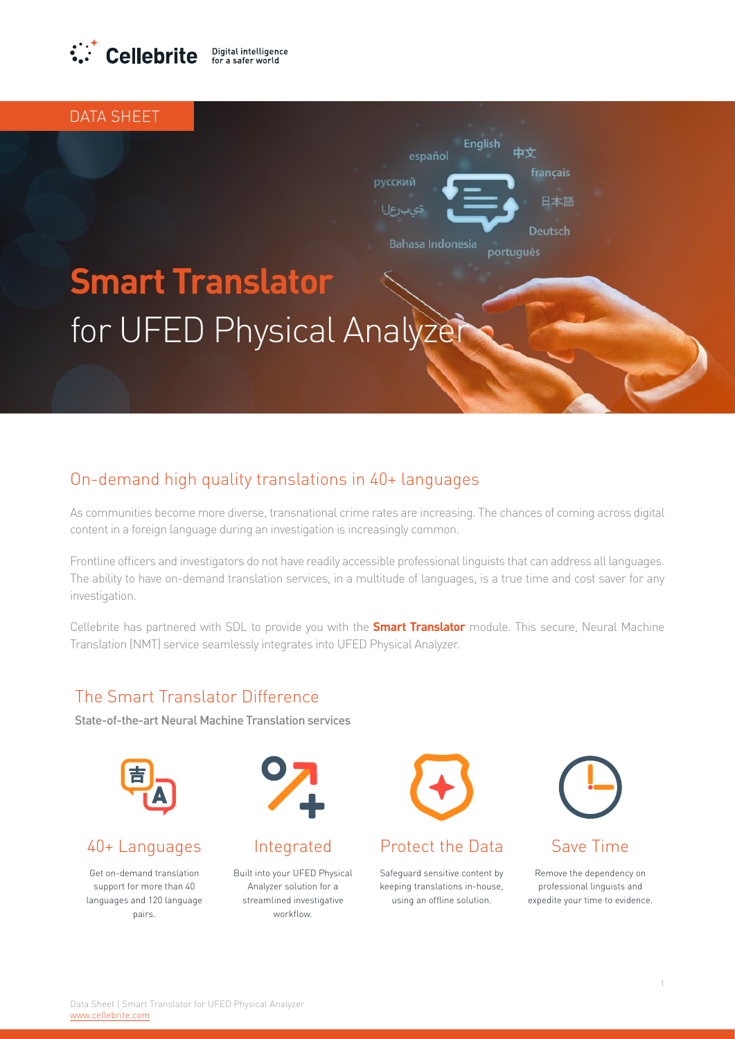

DATA SHEFT

# **Smart Translator** for UFED Physical Analyzer

### On-demand high quality translations in 40+ languages

As communities become more diverse, transnational crime rates are increasing. The chances of coming across digital content in a foreign language during an investigation is increasingly common.

Frontline officers and investigators do not have readily accessible professional linguists that can address all languages. The ability to have on-demand translation services, in a multitude of languages, is a true time and cost saver for any investigation.

Cellebrite has partnered with SDL to provide you with the **Smart Translator** module. This secure, Neural Machine Translation (NMT) service seamlessly integrates into UFED Physical Analyzer.

#### The Smart Translator Difference

State-of-the-art Neural Machine Translation services



Get on-demand translation support for more than 40 languages and 120 language .pairs



**Built into your UFED Physical** Analyzer solution for a streamlined investigative .workflow



**English** 

français

Deutsch

português

日本語

español

**Bahasa Indonesia** 

#### 40+ Languages Integrated Protect the Data Save Time

Safeguard sensitive content by keeping translations in-house. using an offline solution.



Remove the dependency on professional linguists and expedite your time to evidence.